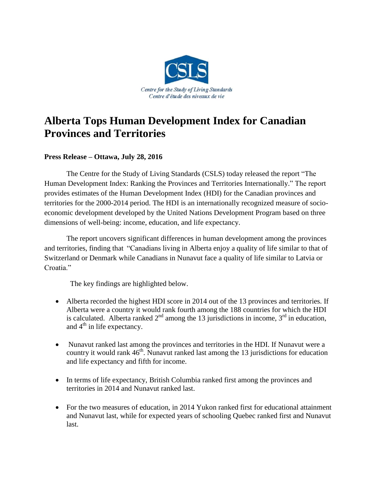

## **Alberta Tops Human Development Index for Canadian Provinces and Territories**

## **Press Release – Ottawa, July 28, 2016**

The Centre for the Study of Living Standards (CSLS) today released the report "The Human Development Index: Ranking the Provinces and Territories Internationally." The report provides estimates of the Human Development Index (HDI) for the Canadian provinces and territories for the 2000-2014 period. The HDI is an internationally recognized measure of socioeconomic development developed by the United Nations Development Program based on three dimensions of well-being: income, education, and life expectancy.

The report uncovers significant differences in human development among the provinces and territories, finding that "Canadians living in Alberta enjoy a quality of life similar to that of Switzerland or Denmark while Canadians in Nunavut face a quality of life similar to Latvia or Croatia."

The key findings are highlighted below.

- Alberta recorded the highest HDI score in 2014 out of the 13 provinces and territories. If Alberta were a country it would rank fourth among the 188 countries for which the HDI is calculated. Alberta ranked  $2<sup>nd</sup>$  among the 13 jurisdictions in income,  $3<sup>rd</sup>$  in education, and  $4<sup>th</sup>$  in life expectancy.
- Nunavut ranked last among the provinces and territories in the HDI. If Nunavut were a country it would rank 46<sup>th</sup>. Nunavut ranked last among the 13 jurisdictions for education and life expectancy and fifth for income.
- In terms of life expectancy, British Columbia ranked first among the provinces and territories in 2014 and Nunavut ranked last.
- For the two measures of education, in 2014 Yukon ranked first for educational attainment and Nunavut last, while for expected years of schooling Quebec ranked first and Nunavut last.